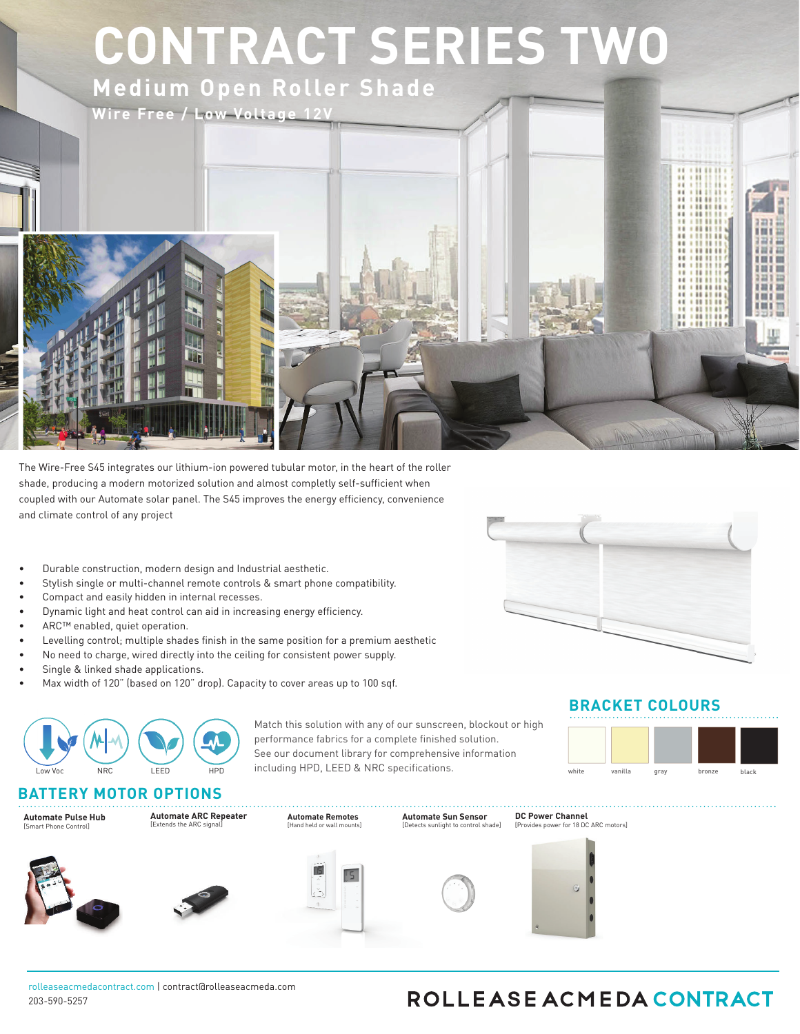# **CONTRACT SERIES TWO**

**Medium Open Roller Shade**



The Wire-Free S45 integrates our lithium-ion powered tubular motor, in the heart of the roller shade, producing a modern motorized solution and almost completly self-sufficient when coupled with our Automate solar panel. The S45 improves the energy efficiency, convenience and climate control of any project

- Durable construction, modern design and Industrial aesthetic.
- Stylish single or multi-channel remote controls & smart phone compatibility.
- Compact and easily hidden in internal recesses.
- Dynamic light and heat control can aid in increasing energy efficiency.
- ARC™ enabled, quiet operation.
- Levelling control; multiple shades finish in the same position for a premium aesthetic
- No need to charge, wired directly into the ceiling for consistent power supply.
- Single & linked shade applications.
- Max width of 120" (based on 120" drop). Capacity to cover areas up to 100 sqf.



Match this solution with any of our sunscreen, blockout or high performance fabrics for a complete finished solution. See our document library for comprehensive information including HPD, LEED & NRC specifications.

#### **BATTERY MOTOR OPTIONS**



**Automate ARC Repeater** [Extends the ARC signal]







**Automate Remotes** [Hand held or wall mo



**Automate Sun Sensor** [Detects sunlight to control shade]



**DC Power Channel**

#### **BRACKET COLOURS**



rolleaseacmedacontract.com | contract@rolleaseacmeda.com 203-590-5257

## ROLLEASE ACMEDA CONTRACT